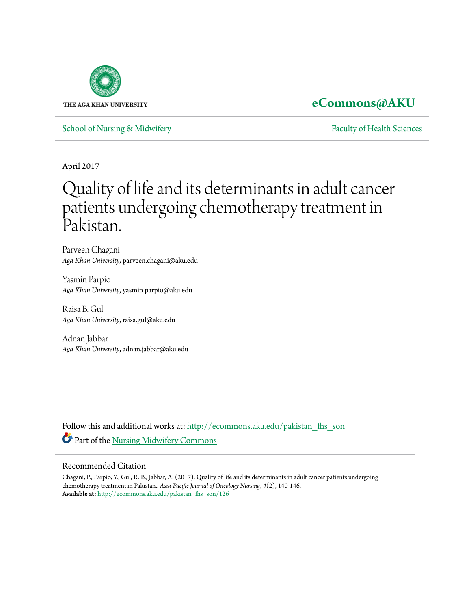

## **[eCommons@AKU](http://ecommons.aku.edu?utm_source=ecommons.aku.edu%2Fpakistan_fhs_son%2F126&utm_medium=PDF&utm_campaign=PDFCoverPages)**

[School of Nursing & Midwifery](http://ecommons.aku.edu/pakistan_fhs_son?utm_source=ecommons.aku.edu%2Fpakistan_fhs_son%2F126&utm_medium=PDF&utm_campaign=PDFCoverPages) **[Faculty of Health Sciences](http://ecommons.aku.edu/pakistan_fhs?utm_source=ecommons.aku.edu%2Fpakistan_fhs_son%2F126&utm_medium=PDF&utm_campaign=PDFCoverPages)** Faculty of Health Sciences

April 2017

# Quality of life and its determinants in adult cancer patients undergoing chemotherapy treatment in Pakistan.

Parveen Chagani *Aga Khan University*, parveen.chagani@aku.edu

Yasmin Parpio *Aga Khan University*, yasmin.parpio@aku.edu

Raisa B. Gul *Aga Khan University*, raisa.gul@aku.edu

Adnan Jabbar *Aga Khan University*, adnan.jabbar@aku.edu

Follow this and additional works at: [http://ecommons.aku.edu/pakistan\\_fhs\\_son](http://ecommons.aku.edu/pakistan_fhs_son?utm_source=ecommons.aku.edu%2Fpakistan_fhs_son%2F126&utm_medium=PDF&utm_campaign=PDFCoverPages) Part of the [Nursing Midwifery Commons](http://network.bepress.com/hgg/discipline/722?utm_source=ecommons.aku.edu%2Fpakistan_fhs_son%2F126&utm_medium=PDF&utm_campaign=PDFCoverPages)

#### Recommended Citation

Chagani, P., Parpio, Y., Gul, R. B., Jabbar, A. (2017). Quality of life and its determinants in adult cancer patients undergoing chemotherapy treatment in Pakistan.. *Asia-Pacific Journal of Oncology Nursing, 4*(2), 140-146. **Available at:** [http://ecommons.aku.edu/pakistan\\_fhs\\_son/126](http://ecommons.aku.edu/pakistan_fhs_son/126)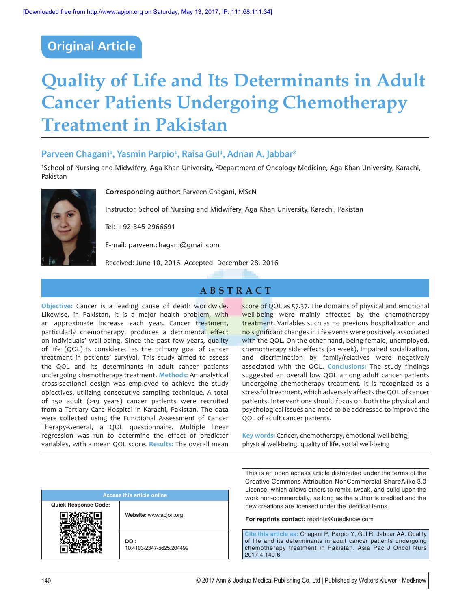## **Original Article**

# **Quality of Life and Its Determinants in Adult Cancer Patients Undergoing Chemotherapy Treatment in Pakistan**

## **Parveen Chagani<sup>1</sup> , Yasmin Parpio<sup>1</sup> , Raisa Gul<sup>1</sup> , Adnan A. Jabbar<sup>2</sup>**

<sup>1</sup>School of Nursing and Midwifery, Aga Khan University, <sup>2</sup>Department of Oncology Medicine, Aga Khan University, Karachi, Pakistan



**Corresponding author:** Parveen Chagani, MScN

Instructor, School of Nursing and Midwifery, Aga Khan University, Karachi, Pakistan

Tel: +92‑345‑2966691

E‑mail: parveen.chagani@gmail.com

Received: June 10, 2016, Accepted: December 28, 2016

## **ABSTRACT**

**Objective:** Cancer is a leading cause of death worldwide. Likewise, in Pakistan, it is a major health problem, with an approximate increase each year. Cancer treatment, particularly chemotherapy, produces a detrimental effect on individuals' well‑being. Since the past few years, quality of life (QOL) is considered as the primary goal of cancer treatment in patients' survival. This study aimed to assess the QOL and its determinants in adult cancer patients undergoing chemotherapy treatment. **Methods:** An analytical cross‑sectional design was employed to achieve the study objectives, utilizing consecutive sampling technique. A total of 150 adult (>19 years) cancer patients were recruited from a Tertiary Care Hospital in Karachi, Pakistan. The data were collected using the Functional Assessment of Cancer Therapy‑General, a QOL questionnaire. Multiple linear regression was run to determine the effect of predictor variables, with a mean QOL score. **Results:** The overall mean

| <b>Access this article online</b> |                                  |  |  |
|-----------------------------------|----------------------------------|--|--|
| <b>Quick Response Code:</b>       | Website: www.apjon.org           |  |  |
|                                   | DOI:<br>10.4103/2347-5625.204499 |  |  |

score of QOL as 57.37. The domains of physical and emotional well-being were mainly affected by the chemotherapy treatment. Variables such as no previous hospitalization and no significant changes in life events were positively associated with the QOL. On the other hand, being female, unemployed, chemotherapy side effects (>1 week), impaired socialization, and discrimination by family/relatives were negatively associated with the QOL. **Conclusions:** The study findings suggested an overall low QOL among adult cancer patients undergoing chemotherapy treatment. It is recognized as a stressful treatment, which adversely affects the QOL of cancer patients. Interventions should focus on both the physical and psychological issues and need to be addressed to improve the QOL of adult cancer patients.

Key words: Cancer, chemotherapy, emotional well-being, physical well-being, quality of life, social well-being

This is an open access article distributed under the terms of the Creative Commons Attribution-NonCommercial-ShareAlike 3.0 License, which allows others to remix, tweak, and build upon the work non-commercially, as long as the author is credited and the new creations are licensed under the identical terms.

**For reprints contact:** reprints@medknow.com

**Cite this article as:** Chagani P, Parpio Y, Gul R, Jabbar AA. Quality of life and its determinants in adult cancer patients undergoing chemotherapy treatment in Pakistan. Asia Pac J Oncol Nurs 2017;4:140-6.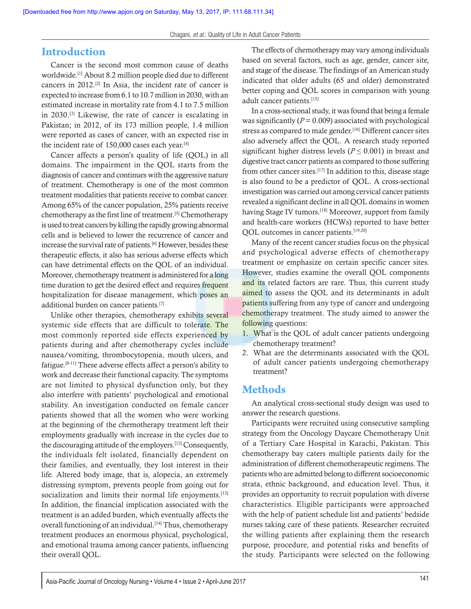## **Introduction**

Cancer is the second most common cause of deaths worldwide.[1] About 8.2 million people died due to different cancers in 2012.[2] In Asia, the incident rate of cancer is expected to increase from 6.1 to 10.7 million in 2030, with an estimated increase in mortality rate from 4.1 to 7.5 million in 2030.[3] Likewise, the rate of cancer is escalating in Pakistan; in 2012, of its 173 million people, 1.4 million were reported as cases of cancer, with an expected rise in the incident rate of 150,000 cases each year.[4]

Cancer affects a person's quality of life (QOL) in all domains. The impairment in the QOL starts from the diagnosis of cancer and continues with the aggressive nature of treatment. Chemotherapy is one of the most common treatment modalities that patients receive to combat cancer. Among 65% of the cancer population, 25% patients receive chemotherapy as the first line of treatment.[5] Chemotherapy is used to treat cancers by killing the rapidly growing abnormal cells and is believed to lower the recurrence of cancer and increase the survival rate of patients.[6] However, besides these therapeutic effects, it also has serious adverse effects which can have detrimental effects on the QOL of an individual. Moreover, chemotherapy treatment is administered for a long time duration to get the desired effect and requires frequent hospitalization for disease management, which poses an additional burden on cancer patients.[7]

Unlike other therapies, chemotherapy exhibits several systemic side effects that are difficult to tolerate. The most commonly reported side effects experienced by patients during and after chemotherapy cycles include nausea/vomiting, thrombocytopenia, mouth ulcers, and fatigue.[8‑11] These adverse effects affect a person's ability to work and decrease their functional capacity. The symptoms are not limited to physical dysfunction only, but they also interfere with patients' psychological and emotional stability. An investigation conducted on female cancer patients showed that all the women who were working at the beginning of the chemotherapy treatment left their employments gradually with increase in the cycles due to the discouraging attitude of the employers.[12] Consequently, the individuals felt isolated, financially dependent on their families, and eventually, they lost interest in their life. Altered body image, that is, alopecia, an extremely distressing symptom, prevents people from going out for socialization and limits their normal life enjoyments.<sup>[13]</sup> In addition, the financial implication associated with the treatment is an added burden, which eventually affects the overall functioning of an individual.<sup>[14]</sup> Thus, chemotherapy treatment produces an enormous physical, psychological, and emotional trauma among cancer patients, influencing their overall QOL.

The effects of chemotherapy may vary among individuals based on several factors, such as age, gender, cancer site, and stage of the disease. The findings of an American study indicated that older adults (65 and older) demonstrated better coping and QOL scores in comparison with young adult cancer patients.[15]

In a cross‑sectional study, it was found that being a female was significantly  $(P = 0.009)$  associated with psychological stress as compared to male gender.<sup>[16]</sup> Different cancer sites also adversely affect the QOL. A research study reported significant higher distress levels ( $P \leq 0.001$ ) in breast and digestive tract cancer patients as compared to those suffering from other cancer sites.[17] In addition to this, disease stage is also found to be a predictor of QOL. A cross-sectional investigation was carried out among cervical cancer patients revealed a significant decline in all QOL domains in women having Stage IV tumors.<sup>[18]</sup> Moreover, support from family and health-care workers (HCWs) reported to have better QOL outcomes in cancer patients.[19,20]

Many of the recent cancer studies focus on the physical and psychological adverse effects of chemotherapy treatment or emphasize on certain specific cancer sites. However, studies examine the overall QOL components and its related factors are rare. Thus, this current study aimed to assess the QOL and its determinants in adult patients suffering from any type of cancer and undergoing chemotherapy treatment. The study aimed to answer the following questions:

- 1. What is the QOL of adult cancer patients undergoing chemotherapy treatment?
- 2. What are the determinants associated with the QOL of adult cancer patients undergoing chemotherapy treatment?

## **Methods**

An analytical cross-sectional study design was used to answer the research questions.

Participants were recruited using consecutive sampling strategy from the Oncology Daycare Chemotherapy Unit of a Tertiary Care Hospital in Karachi, Pakistan. This chemotherapy bay caters multiple patients daily for the administration of different chemotherapeutic regimens. The patients who are admitted belong to different socioeconomic strata, ethnic background, and education level. Thus, it provides an opportunity to recruit population with diverse characteristics. Eligible participants were approached with the help of patient schedule list and patients' bedside nurses taking care of these patients. Researcher recruited the willing patients after explaining them the research purpose, procedure, and potential risks and benefits of the study. Participants were selected on the following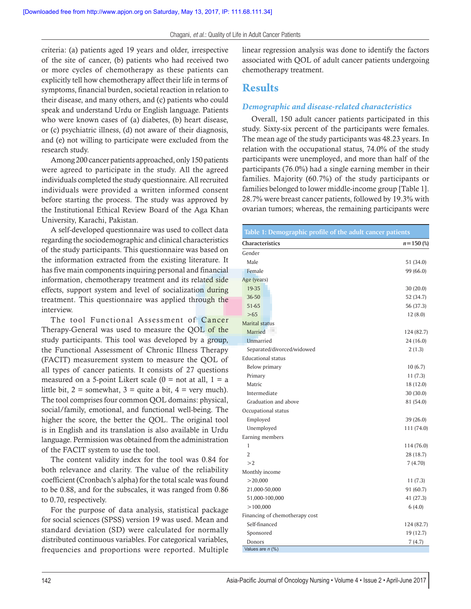criteria: (a) patients aged 19 years and older, irrespective of the site of cancer, (b) patients who had received two or more cycles of chemotherapy as these patients can explicitly tell how chemotherapy affect their life in terms of symptoms, financial burden, societal reaction in relation to their disease, and many others, and (c) patients who could speak and understand Urdu or English language. Patients who were known cases of (a) diabetes, (b) heart disease, or (c) psychiatric illness, (d) not aware of their diagnosis, and (e) not willing to participate were excluded from the research study.

Among 200 cancer patients approached, only 150 patients were agreed to participate in the study. All the agreed individuals completed the study questionnaire. All recruited individuals were provided a written informed consent before starting the process. The study was approved by the Institutional Ethical Review Board of the Aga Khan University, Karachi, Pakistan.

A self‑developed questionnaire was used to collect data regarding the sociodemographic and clinical characteristics of the study participants. This questionnaire was based on the information extracted from the existing literature. It has five main components inquiring personal and financial information, chemotherapy treatment and its related side effects, support system and level of socialization during treatment. This questionnaire was applied through the interview.

The tool Functional Assessment of Cancer Therapy‑General was used to measure the QOL of the study participants. This tool was developed by a group, the Functional Assessment of Chronic Illness Therapy (FACIT) measurement system to measure the QOL of all types of cancer patients. It consists of 27 questions measured on a 5-point Likert scale ( $0 =$  not at all,  $1 = a$ little bit,  $2 =$  somewhat,  $3 =$  quite a bit,  $4 =$  very much). The tool comprises four common QOL domains: physical, social/family, emotional, and functional well-being. The higher the score, the better the QOL. The original tool is in English and its translation is also available in Urdu language. Permission was obtained from the administration of the FACIT system to use the tool.

The content validity index for the tool was 0.84 for both relevance and clarity. The value of the reliability coefficient (Cronbach's alpha) for the total scale was found to be 0.88, and for the subscales, it was ranged from 0.86 to 0.70, respectively.

For the purpose of data analysis, statistical package for social sciences (SPSS) version 19 was used. Mean and standard deviation (SD) were calculated for normally distributed continuous variables. For categorical variables, frequencies and proportions were reported. Multiple linear regression analysis was done to identify the factors associated with QOL of adult cancer patients undergoing chemotherapy treatment.

## **Results**

#### *Demographic and disease‑related characteristics*

Overall, 150 adult cancer patients participated in this study. Sixty-six percent of the participants were females. The mean age of the study participants was 48.23 years. In relation with the occupational status, 74.0% of the study participants were unemployed, and more than half of the participants (76.0%) had a single earning member in their families. Majority (60.7%) of the study participants or families belonged to lower middle-income group [Table 1]. 28.7% were breast cancer patients, followed by 19.3% with ovarian tumors; whereas, the remaining participants were

| Table 1: Demographic profile of the adult cancer patients |                |
|-----------------------------------------------------------|----------------|
| <b>Characteristics</b>                                    | $n = 150\ (%)$ |
| Gender                                                    |                |
| Male                                                      | 51 (34.0)      |
| Female                                                    | 99 (66.0)      |
| Age (years)                                               |                |
| 19-35                                                     | 30(20.0)       |
| 36-50                                                     | 52 (34.7)      |
| 51-65                                                     | 56 (37.3)      |
| >65                                                       | 12(8.0)        |
| <b>Marital status</b>                                     |                |
| Married                                                   | 124 (82.7)     |
| Unmarried                                                 | 24(16.0)       |
| Separated/divorced/widowed                                | 2(1.3)         |
| <b>Educational status</b>                                 |                |
| Below primary                                             | 10(6.7)        |
| Primary                                                   | 11(7.3)        |
| Matric                                                    | 18 (12.0)      |
| Intermediate                                              | 30 (30.0)      |
| Graduation and above                                      | 81 (54.0)      |
| Occupational status                                       |                |
| Employed                                                  | 39(26.0)       |
| Unemployed                                                | 111 (74.0)     |
| Earning members                                           |                |
| 1                                                         | 114 (76.0)     |
| $\overline{2}$                                            | 28 (18.7)      |
| >2                                                        | 7(4.70)        |
| Monthly income                                            |                |
| >20,000                                                   | 11 (7.3)       |
| 21,000-50,000                                             | 91 (60.7)      |
| 51,000-100,000                                            | 41 (27.3)      |
| >100,000                                                  | 6(4.0)         |
| Financing of chemotherapy cost                            |                |
| Self-financed                                             | 124 (82.7)     |
| Sponsored                                                 | 19 (12.7)      |
| Donors                                                    | 7(4.7)         |
| Values are $n$ (%)                                        |                |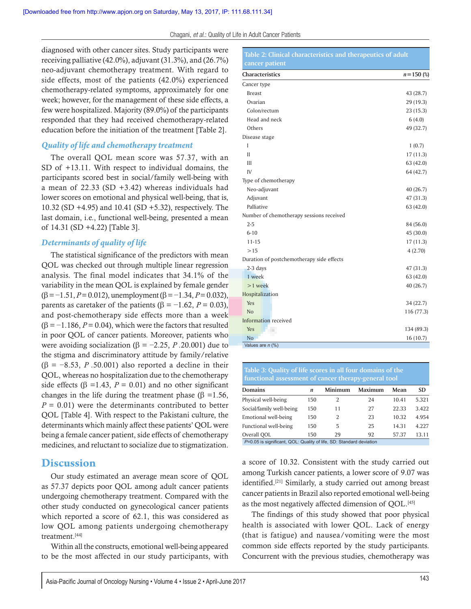#### Chagani, et al.: Quality of Life in Adult Cancer Patients

diagnosed with other cancer sites. Study participants were receiving palliative (42.0%), adjuvant (31.3%), and (26.7%) neo‑adjuvant chemotherapy treatment. With regard to side effects, most of the patients (42.0%) experienced chemotherapy‑related symptoms, approximately for one week; however, for the management of these side effects, a few were hospitalized. Majority (89.0%) of the participants responded that they had received chemotherapy‑related education before the initiation of the treatment [Table 2].

#### *Quality of life and chemotherapy treatment*

The overall QOL mean score was 57.37, with an SD of +13.11. With respect to individual domains, the participants scored best in social/family well-being with a mean of 22.33 (SD  $+3.42$ ) whereas individuals had lower scores on emotional and physical well-being, that is, 10.32 (SD +4.95) and 10.41 (SD +5.32), respectively. The last domain, *i.e.*, functional well-being, presented a mean of 14.31 (SD +4.22) [Table 3].

#### *Determinants of quality of life*

The statistical significance of the predictors with mean QOL was checked out through multiple linear regression analysis. The final model indicates that 34.1% of the variability in the mean QOL is explained by female gender (β = −1.51, *P* = 0.012), unemployment (β = −1.34, *P* = 0.032), parents as caretaker of the patients ( $\beta = -1.62$ ,  $P = 0.03$ ), and post-chemotherapy side effects more than a week  $(\beta = -1.186, P = 0.04)$ , which were the factors that resulted in poor QOL of cancer patients. Moreover, patients who were avoiding socialization ( $\beta$  = -2.25, *P* .20.001) due to the stigma and discriminatory attitude by family/relative  $(\beta = -8.53, P.50.001)$  also reported a decline in their QOL, whereas no hospitalization due to the chemotherapy side effects ( $\beta$  =1.43,  $P = 0.01$ ) and no other significant changes in the life during the treatment phase ( $\beta$  =1.56,  $P = 0.01$ ) were the determinants contributed to better QOL [Table 4]. With respect to the Pakistani culture, the determinants which mainly affect these patients' QOL were being a female cancer patient, side effects of chemotherapy medicines, and reluctant to socialize due to stigmatization.

## **Discussion**

Our study estimated an average mean score of QOL as 57.37 depicts poor QOL among adult cancer patients undergoing chemotherapy treatment. Compared with the other study conducted on gynecological cancer patients which reported a score of 62.1, this was considered as low QOL among patients undergoing chemotherapy treatment.[44]

Within all the constructs, emotional well-being appeared to be the most affected in our study participants, with

| Table 2: Clinical characteristics and therapeutics of adult |               |  |
|-------------------------------------------------------------|---------------|--|
| cancer patient                                              |               |  |
| Characteristics                                             | $n = 150$ (%) |  |
| Cancer type                                                 |               |  |
| <b>Breast</b>                                               | 43 (28.7)     |  |
| Ovarian                                                     | 29 (19.3)     |  |
| Colon/rectum                                                | 23(15.3)      |  |
| Head and neck                                               | 6(4.0)        |  |
| Others                                                      | 49 (32.7)     |  |
| Disease stage                                               |               |  |
| I                                                           | 1(0.7)        |  |
| $\mathbf{I}$                                                | 17(11.3)      |  |
| Ш                                                           | 63 (42.0)     |  |
| IV                                                          | 64 (42.7)     |  |
| Type of chemotherapy                                        |               |  |
| Neo-adjuvant                                                | 40 (26.7)     |  |
| Adjuvant                                                    | 47 (31.3)     |  |
| Palliative                                                  | 63 (42.0)     |  |
| Number of chemotherapy sessions received                    |               |  |
| $2 - 5$                                                     | 84 (56.0)     |  |
| $6 - 10$                                                    | 45 (30.0)     |  |
| $11 - 15$                                                   | 17(11.3)      |  |
| >15                                                         | 4(2.70)       |  |
| Duration of postchemotherapy side effects                   |               |  |
| $2-3$ days                                                  | 47 (31.3)     |  |
| 1 week                                                      | 63 (42.0)     |  |
| $>1$ week                                                   | 40(26.7)      |  |
| Hospitalization                                             |               |  |
| Yes                                                         | 34(22.7)      |  |
| No                                                          | 116 (77.3)    |  |
| Information received                                        |               |  |
| <b>Yes</b><br>ш                                             | 134 (89.3)    |  |
| No                                                          | 16(10.7)      |  |
| Values are $n$ (%)                                          |               |  |

**Table 3: Quality of life scores in all four domains of the functional assessment of cancer therapy‑general tool Domains** *n* **Minimum Maximum Mean SD**

| Physical well-being                                                 | 150 |    | 24 | 10.41 | 5.321 |  |  |
|---------------------------------------------------------------------|-----|----|----|-------|-------|--|--|
| Social/family well-being                                            | 150 | 11 | 27 | 22.33 | 3.422 |  |  |
| Emotional well-being                                                | 150 | 2  | 23 | 10.32 | 4.954 |  |  |
| Functional well-being                                               | 150 | 5  | 25 | 14.31 | 4.227 |  |  |
| Overall QOL                                                         | 150 | 29 | 92 | 57.37 | 13.11 |  |  |
| P=0.05 is significant, QOL: Quality of life, SD: Standard deviation |     |    |    |       |       |  |  |

a score of 10.32. Consistent with the study carried out among Turkish cancer patients, a lower score of 9.07 was identified.[21] Similarly, a study carried out among breast cancer patients in Brazil also reported emotional well‑being as the most negatively affected dimension of QOL.[45]

The findings of this study showed that poor physical health is associated with lower QOL. Lack of energy (that is fatigue) and nausea/vomiting were the most common side effects reported by the study participants. Concurrent with the previous studies, chemotherapy was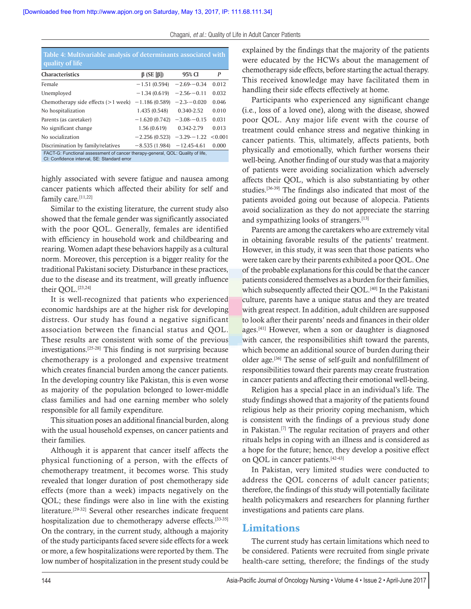| Table 4: Multivariable analysis of determinants associated with<br>quality of life                                            |                          |                 |         |  |  |  |
|-------------------------------------------------------------------------------------------------------------------------------|--------------------------|-----------------|---------|--|--|--|
| <b>Characteristics</b>                                                                                                        | $\beta$ (SE [ $\beta$ ]) | 95% CI          | P       |  |  |  |
| Female                                                                                                                        | $-1.51(0.594)$           | $-2.69-0.34$    | 0.012   |  |  |  |
| Unemployed                                                                                                                    | $-1.34(0.619)$           | $-2.56 - 0.11$  | 0.032   |  |  |  |
| Chemotherapy side effects $(>1$ week)                                                                                         | $-1.186(0.589)$          | $-2.3 - 0.020$  | 0.046   |  |  |  |
| No hospitalization                                                                                                            | 1.435 (0.548)            | 0.340-2.52      | 0.010   |  |  |  |
| Parents (as caretaker)                                                                                                        | $-1.620(0.742)$          | $-3.08 - 0.15$  | 0.031   |  |  |  |
| No significant change                                                                                                         | 1.56(0.619)              | 0.342-2.79      | 0.013   |  |  |  |
| No socialization                                                                                                              | $-2.256(0.523)$          | $-3.29 - 1.22$  | < 0.001 |  |  |  |
| Discrimination by family/relatives                                                                                            | $-8.535(1.984)$          | $-12.45 - 4.61$ | 0.000   |  |  |  |
| FACT-G: Functional assessment of cancer therapy-general, QOL: Quality of life,<br>CI: Confidence interval, SE: Standard error |                          |                 |         |  |  |  |

highly associated with severe fatigue and nausea among cancer patients which affected their ability for self and family care.<sup>[11,22]</sup>

Similar to the existing literature, the current study also showed that the female gender was significantly associated with the poor QOL. Generally, females are identified with efficiency in household work and childbearing and rearing. Women adapt these behaviors happily as a cultural norm. Moreover, this perception is a bigger reality for the traditional Pakistani society. Disturbance in these practices, due to the disease and its treatment, will greatly influence their QOL.<sup>[23,24]</sup>

It is well-recognized that patients who experienced economic hardships are at the higher risk for developing distress. Our study has found a negative significant association between the financial status and QOL. These results are consistent with some of the previous investigations.[25‑28] This finding is not surprising because chemotherapy is a prolonged and expensive treatment which creates financial burden among the cancer patients. In the developing country like Pakistan, this is even worse as majority of the population belonged to lower-middle class families and had one earning member who solely responsible for all family expenditure.

This situation poses an additional financial burden, along with the usual household expenses, on cancer patients and their families.

Although it is apparent that cancer itself affects the physical functioning of a person, with the effects of chemotherapy treatment, it becomes worse. This study revealed that longer duration of post chemotherapy side effects (more than a week) impacts negatively on the QOL; these findings were also in line with the existing literature.[29‑32] Several other researches indicate frequent hospitalization due to chemotherapy adverse effects.<sup>[33-35]</sup> On the contrary, in the current study, although a majority of the study participants faced severe side effects for a week or more, a few hospitalizations were reported by them. The low number of hospitalization in the present study could be explained by the findings that the majority of the patients were educated by the HCWs about the management of chemotherapy side effects, before starting the actual therapy. This received knowledge may have facilitated them in handling their side effects effectively at home.

Participants who experienced any significant change (i.e., loss of a loved one), along with the disease, showed poor QOL. Any major life event with the course of treatment could enhance stress and negative thinking in cancer patients. This, ultimately, affects patients, both physically and emotionally, which further worsens their well-being. Another finding of our study was that a majority of patients were avoiding socialization which adversely affects their QOL, which is also substantiating by other studies.[36‑39] The findings also indicated that most of the patients avoided going out because of alopecia. Patients avoid socialization as they do not appreciate the starring and sympathizing looks of strangers.<sup>[13]</sup>

Parents are among the caretakers who are extremely vital in obtaining favorable results of the patients' treatment. However, in this study, it was seen that those patients who were taken care by their parents exhibited a poor QOL. One of the probable explanations for this could be that the cancer patients considered themselves as a burden for their families, which subsequently affected their QOL.<sup>[40]</sup> In the Pakistani culture, parents have a unique status and they are treated with great respect. In addition, adult children are supposed to look after their parents' needs and finances in their older ages.<sup>[41]</sup> However, when a son or daughter is diagnosed with cancer, the responsibilities shift toward the parents, which become an additional source of burden during their older age.[36] The sense of self‑guilt and nonfulfillment of responsibilities toward their parents may create frustration in cancer patients and affecting their emotional well-being.

Religion has a special place in an individual's life. The study findings showed that a majority of the patients found religious help as their priority coping mechanism, which is consistent with the findings of a previous study done in Pakistan.[7] The regular recitation of prayers and other rituals helps in coping with an illness and is considered as a hope for the future; hence, they develop a positive effect on QOL in cancer patients.<sup>[42-43]</sup>

In Pakistan, very limited studies were conducted to address the QOL concerns of adult cancer patients; therefore, the findings of this study will potentially facilitate health policymakers and researchers for planning further investigations and patients care plans.

#### **Limitations**

The current study has certain limitations which need to be considered. Patients were recruited from single private health-care setting, therefore; the findings of the study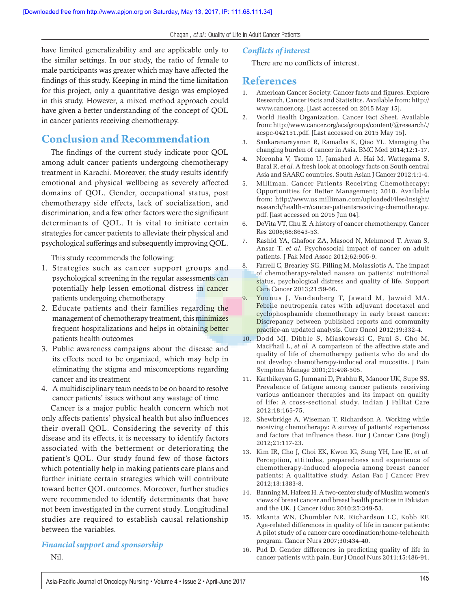### have limited generalizability and are applicable only to the similar settings. In our study, the ratio of female to male participants was greater which may have affected the findings of this study. Keeping in mind the time limitation for this project, only a quantitative design was employed in this study. However, a mixed method approach could have given a better understanding of the concept of QOL in cancer patients receiving chemotherapy.

## **Conclusion and Recommendation**

The findings of the current study indicate poor QOL among adult cancer patients undergoing chemotherapy treatment in Karachi. Moreover, the study results identify emotional and physical wellbeing as severely affected domains of QOL. Gender, occupational status, post chemotherapy side effects, lack of socialization, and discrimination, and a few other factors were the significant determinants of QOL. It is vital to initiate certain strategies for cancer patients to alleviate their physical and psychological sufferings and subsequently improving QOL.

This study recommends the following:

- 1. Strategies such as cancer support groups and psychological screening in the regular assessments can potentially help lessen emotional distress in cancer patients undergoing chemotherapy
- 2. Educate patients and their families regarding the management of chemotherapy treatment, this minimizes frequent hospitalizations and helps in obtaining better patients health outcomes
- 3. Public awareness campaigns about the disease and its effects need to be organized, which may help in eliminating the stigma and misconceptions regarding cancer and its treatment
- 4. A multidisciplinary team needs to be on board to resolve cancer patients' issues without any wastage of time.

Cancer is a major public health concern which not only affects patients' physical health but also influences their overall QOL. Considering the severity of this disease and its effects, it is necessary to identify factors associated with the betterment or deteriorating the patient's QOL. Our study found few of those factors which potentially help in making patients care plans and further initiate certain strategies which will contribute toward better QOL outcomes. Moreover, further studies were recommended to identify determinants that have not been investigated in the current study. Longitudinal studies are required to establish causal relationship between the variables.

#### *Financial support and sponsorship*

Nil.

#### *Conflicts of interest*

There are no conflicts of interest.

### **References**

- 1. American Cancer Society. Cancer facts and figures. Explore Research, Cancer Facts and Statistics. Available from: http:// www.cancer.org. [Last accessed on 2015 May 15].
- 2. World Health Organization. Cancer Fact Sheet. Available from: http://www.cancer.org/acs/groups/content/@research/./ acspc‑042151.pdf. [Last accessed on 2015 May 15].
- 3. Sankaranarayanan R, Ramadas K, Qiao YL. Managing the changing burden of cancer in Asia. BMC Med 2014;12:1‑17.
- 4. Noronha V, Tsomo U, Jamshed A, Hai M, Wattegama S, Baral R, *et al.* A fresh look at oncology facts on South central Asia and SAARC countries. South Asian J Cancer 2012;1:1‑4.
- 5. Milliman. Cancer Patients Receiving Chemotherapy: Opportunities for Better Management; 2010. Available from: http://www.us.milliman.com/uploadedFiles/insight/ research/health‑rr/cancer‑patientsreceiving‑chemotherapy. pdf. [last accessed on 2015 Jun 04].
- 6. DeVita VT, Chu E. A history of cancer chemotherapy. Cancer Res 2008;68:8643‑53.
- 7. Rashid YA, Ghafoor ZA, Masood N, Mehmood T, Awan S, Ansar T, *et al.* Psychosocial impact of cancer on adult patients. J Pak Med Assoc 2012;62:905‑9.
- 8. Farrell C, Brearley SG, Pilling M, Molassiotis A. The impact of chemotherapy‑related nausea on patients' nutritional status, psychological distress and quality of life. Support Care Cancer 2013;21:59‑66.
- 9. Younus J, Vandenberg T, Jawaid M, Jawaid MA. Febrile neutropenia rates with adjuvant docetaxel and cyclophosphamide chemotherapy in early breast cancer: Discrepancy between published reports and community practice‑an updated analysis. Curr Oncol 2012;19:332‑4.
- 10. Dodd MJ, Dibble S, Miaskowski C, Paul S, Cho M, MacPhail L, *et al.* A comparison of the affective state and quality of life of chemotherapy patients who do and do not develop chemotherapy‑induced oral mucositis. J Pain Symptom Manage 2001;21:498‑505.
- 11. Karthikeyan G, Jumnani D, Prabhu R, Manoor UK, Supe SS. Prevalence of fatigue among cancer patients receiving various anticancer therapies and its impact on quality of life: A cross‑sectional study. Indian J Palliat Care 2012;18:165‑75.
- 12. Shewbridge A, Wiseman T, Richardson A. Working while receiving chemotherapy: A survey of patients' experiences and factors that influence these. Eur J Cancer Care (Engl) 2012;21:117‑23.
- 13. Kim IR, Cho J, Choi EK, Kwon IG, Sung YH, Lee JE, *et al.* Perception, attitudes, preparedness and experience of chemotherapy‑induced alopecia among breast cancer patients: A qualitative study. Asian Pac J Cancer Prev 2012;13:1383‑8.
- 14. Banning M, Hafeez H. A two-center study of Muslim women's views of breast cancer and breast health practices in Pakistan and the UK. J Cancer Educ 2010;25:349‑53.
- 15. Mkanta WN, Chumbler NR, Richardson LC, Kobb RF. Age-related differences in quality of life in cancer patients: A pilot study of a cancer care coordination/home-telehealth program. Cancer Nurs 2007;30:434‑40.
- 16. Pud D. Gender differences in predicting quality of life in cancer patients with pain. Eur J Oncol Nurs 2011;15:486‑91.